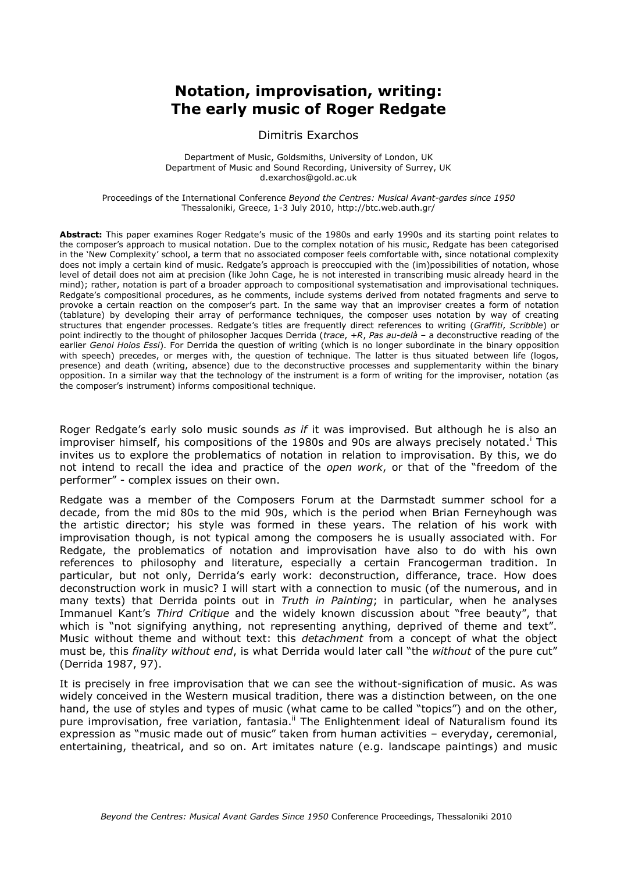## **Notation, improvisation, writing: The early music of Roger Redgate**

## Dimitris Exarchos

Department of Music, Goldsmiths, University of London, UK Department of Music and Sound Recording, University of Surrey, UK d.exarchos@gold.ac.uk

Proceedings of the International Conference *Beyond the Centres: Musical Avant-gardes since 1950* Thessaloniki, Greece, 1-3 July 2010, http://btc.web.auth.gr/

**Abstract:** This paper examines Roger Redgate"s music of the 1980s and early 1990s and its starting point relates to the composer"s approach to musical notation. Due to the complex notation of his music, Redgate has been categorised in the "New Complexity" school, a term that no associated composer feels comfortable with, since notational complexity does not imply a certain kind of music. Redgate's approach is preoccupied with the (im)possibilities of notation, whose level of detail does not aim at precision (like John Cage, he is not interested in transcribing music already heard in the mind); rather, notation is part of a broader approach to compositional systematisation and improvisational techniques. Redgate"s compositional procedures, as he comments, include systems derived from notated fragments and serve to provoke a certain reaction on the composer"s part. In the same way that an improviser creates a form of notation (tablature) by developing their array of performance techniques, the composer uses notation by way of creating structures that engender processes. Redgate"s titles are frequently direct references to writing (*Graffiti*, *Scribble*) or point indirectly to the thought of philosopher Jacques Derrida (*trace*, *+R*, *Pas au-delà* – a deconstructive reading of the earlier *Genoi Hoios Essi*). For Derrida the question of writing (which is no longer subordinate in the binary opposition with speech) precedes, or merges with, the question of technique. The latter is thus situated between life (logos, presence) and death (writing, absence) due to the deconstructive processes and supplementarity within the binary opposition. In a similar way that the technology of the instrument is a form of writing for the improviser, notation (as the composer"s instrument) informs compositional technique.

Roger Redgate's early solo music sounds *as if* it was improvised. But although he is also an improviser himself, his compositions of the 1980s and 90s are always precisely notated.<sup>i</sup> This invites us to explore the problematics of notation in relation to improvisation. By this, we do not intend to recall the idea and practice of the *open work*, or that of the "freedom of the performer" - complex issues on their own.

Redgate was a member of the Composers Forum at the Darmstadt summer school for a decade, from the mid 80s to the mid 90s, which is the period when Brian Ferneyhough was the artistic director; his style was formed in these years. The relation of his work with improvisation though, is not typical among the composers he is usually associated with. For Redgate, the problematics of notation and improvisation have also to do with his own references to philosophy and literature, especially a certain Francogerman tradition. In particular, but not only, Derrida's early work: deconstruction, differance, trace. How does deconstruction work in music? I will start with a connection to music (of the numerous, and in many texts) that Derrida points out in *Truth in Painting*; in particular, when he analyses Immanuel Kant"s *Third Critique* and the widely known discussion about "free beauty", that which is "not signifying anything, not representing anything, deprived of theme and text". Music without theme and without text: this *detachment* from a concept of what the object must be, this *finality without end*, is what Derrida would later call "the *without* of the pure cut" (Derrida 1987, 97).

It is precisely in free improvisation that we can see the without-signification of music. As was widely conceived in the Western musical tradition, there was a distinction between, on the one hand, the use of styles and types of music (what came to be called "topics") and on the other, pure improvisation, free variation, fantasia.<sup>ii</sup> The Enlightenment ideal of Naturalism found its expression as "music made out of music" taken from human activities – everyday, ceremonial, entertaining, theatrical, and so on. Art imitates nature (e.g. landscape paintings) and music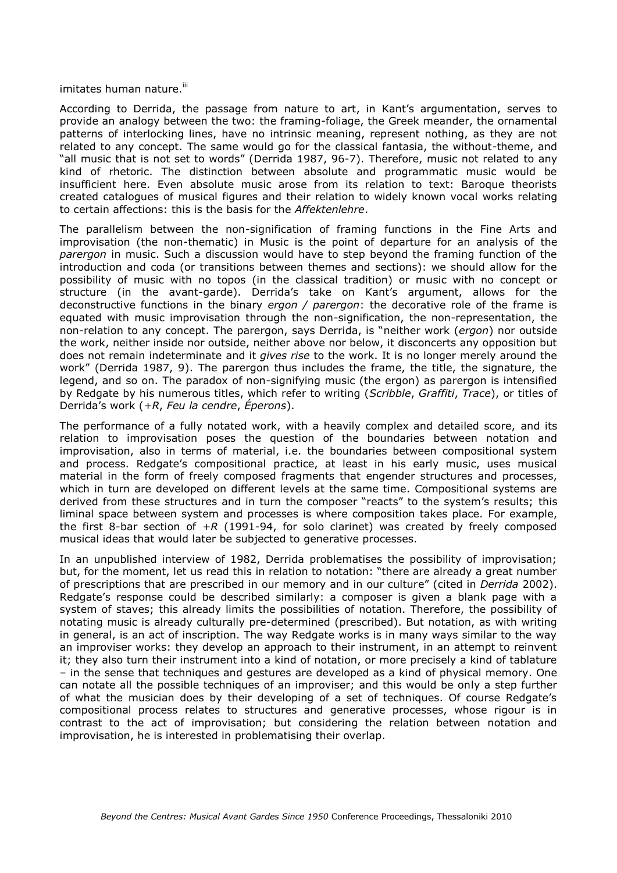imitates human nature.<sup>iii</sup>

According to Derrida, the passage from nature to art, in Kant"s argumentation, serves to provide an analogy between the two: the framing-foliage, the Greek meander, the ornamental patterns of interlocking lines, have no intrinsic meaning, represent nothing, as they are not related to any concept. The same would go for the classical fantasia, the without-theme, and "all music that is not set to words" (Derrida 1987, 96-7). Therefore, music not related to any kind of rhetoric. The distinction between absolute and programmatic music would be insufficient here. Even absolute music arose from its relation to text: Baroque theorists created catalogues of musical figures and their relation to widely known vocal works relating to certain affections: this is the basis for the *Affektenlehre*.

The parallelism between the non-signification of framing functions in the Fine Arts and improvisation (the non-thematic) in Music is the point of departure for an analysis of the *parergon* in music. Such a discussion would have to step beyond the framing function of the introduction and coda (or transitions between themes and sections): we should allow for the possibility of music with no topos (in the classical tradition) or music with no concept or structure (in the avant-garde). Derrida"s take on Kant"s argument, allows for the deconstructive functions in the binary *ergon / parergon*: the decorative role of the frame is equated with music improvisation through the non-signification, the non-representation, the non-relation to any concept. The parergon, says Derrida, is "neither work (*ergon*) nor outside the work, neither inside nor outside, neither above nor below, it disconcerts any opposition but does not remain indeterminate and it *gives rise* to the work. It is no longer merely around the work" (Derrida 1987, 9). The parergon thus includes the frame, the title, the signature, the legend, and so on. The paradox of non-signifying music (the ergon) as parergon is intensified by Redgate by his numerous titles, which refer to writing (*Scribble*, *Graffiti*, *Trace*), or titles of Derrida"s work (*+R*, *Feu la cendre*, *Éperons*).

The performance of a fully notated work, with a heavily complex and detailed score, and its relation to improvisation poses the question of the boundaries between notation and improvisation, also in terms of material, i.e. the boundaries between compositional system and process. Redgate"s compositional practice, at least in his early music, uses musical material in the form of freely composed fragments that engender structures and processes, which in turn are developed on different levels at the same time. Compositional systems are derived from these structures and in turn the composer "reacts" to the system's results; this liminal space between system and processes is where composition takes place. For example, the first 8-bar section of *+R* (1991-94, for solo clarinet) was created by freely composed musical ideas that would later be subjected to generative processes.

In an unpublished interview of 1982, Derrida problematises the possibility of improvisation; but, for the moment, let us read this in relation to notation: "there are already a great number of prescriptions that are prescribed in our memory and in our culture" (cited in *Derrida* 2002). Redgate's response could be described similarly: a composer is given a blank page with a system of staves; this already limits the possibilities of notation. Therefore, the possibility of notating music is already culturally pre-determined (prescribed). But notation, as with writing in general, is an act of inscription. The way Redgate works is in many ways similar to the way an improviser works: they develop an approach to their instrument, in an attempt to reinvent it; they also turn their instrument into a kind of notation, or more precisely a kind of tablature – in the sense that techniques and gestures are developed as a kind of physical memory. One can notate all the possible techniques of an improviser; and this would be only a step further of what the musician does by their developing of a set of techniques. Of course Redgate"s compositional process relates to structures and generative processes, whose rigour is in contrast to the act of improvisation; but considering the relation between notation and improvisation, he is interested in problematising their overlap.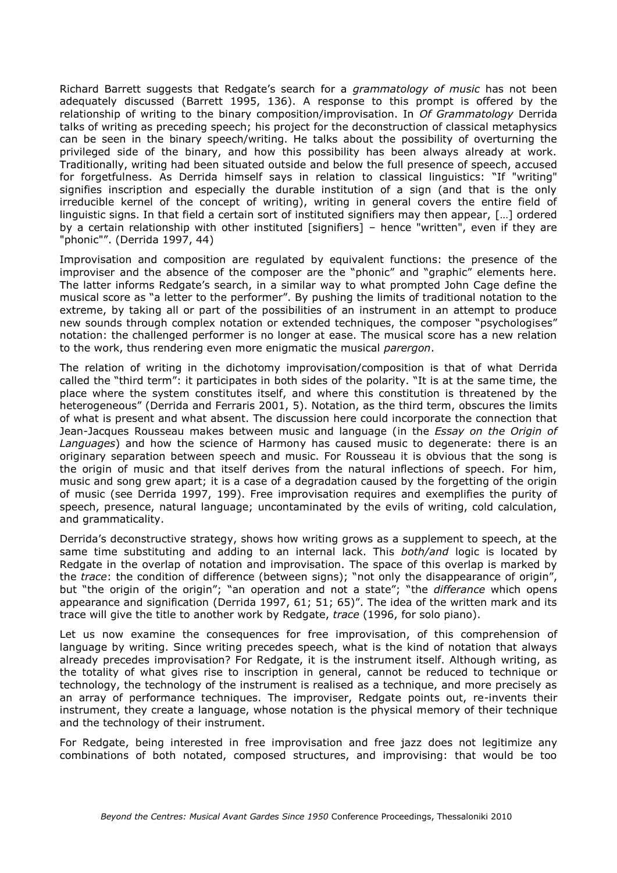Richard Barrett suggests that Redgate"s search for a *grammatology of music* has not been adequately discussed (Barrett 1995, 136). A response to this prompt is offered by the relationship of writing to the binary composition/improvisation. In *Of Grammatology* Derrida talks of writing as preceding speech; his project for the deconstruction of classical metaphysics can be seen in the binary speech/writing. He talks about the possibility of overturning the privileged side of the binary, and how this possibility has been always already at work. Traditionally, writing had been situated outside and below the full presence of speech, accused for forgetfulness. As Derrida himself says in relation to classical linguistics: "If "writing" signifies inscription and especially the durable institution of a sign (and that is the only irreducible kernel of the concept of writing), writing in general covers the entire field of linguistic signs. In that field a certain sort of instituted signifiers may then appear, […] ordered by a certain relationship with other instituted [signifiers] – hence "written", even if they are "phonic"". (Derrida 1997, 44)

Improvisation and composition are regulated by equivalent functions: the presence of the improviser and the absence of the composer are the "phonic" and "graphic" elements here. The latter informs Redgate"s search, in a similar way to what prompted John Cage define the musical score as "a letter to the performer". By pushing the limits of traditional notation to the extreme, by taking all or part of the possibilities of an instrument in an attempt to produce new sounds through complex notation or extended techniques, the composer "psychologises" notation: the challenged performer is no longer at ease. The musical score has a new relation to the work, thus rendering even more enigmatic the musical *parergon*.

The relation of writing in the dichotomy improvisation/composition is that of what Derrida called the "third term": it participates in both sides of the polarity. "It is at the same time, the place where the system constitutes itself, and where this constitution is threatened by the heterogeneous" (Derrida and Ferraris 2001, 5). Notation, as the third term, obscures the limits of what is present and what absent. The discussion here could incorporate the connection that Jean-Jacques Rousseau makes between music and language (in the *Essay on the Origin of Languages*) and how the science of Harmony has caused music to degenerate: there is an originary separation between speech and music. For Rousseau it is obvious that the song is the origin of music and that itself derives from the natural inflections of speech. For him, music and song grew apart; it is a case of a degradation caused by the forgetting of the origin of music (see Derrida 1997, 199). Free improvisation requires and exemplifies the purity of speech, presence, natural language; uncontaminated by the evils of writing, cold calculation, and grammaticality.

Derrida's deconstructive strategy, shows how writing grows as a supplement to speech, at the same time substituting and adding to an internal lack. This *both/and* logic is located by Redgate in the overlap of notation and improvisation. The space of this overlap is marked by the *trace*: the condition of difference (between signs); "not only the disappearance of origin", but "the origin of the origin"; "an operation and not a state"; "the *differance* which opens appearance and signification (Derrida 1997, 61; 51; 65)". The idea of the written mark and its trace will give the title to another work by Redgate, *trace* (1996, for solo piano).

Let us now examine the consequences for free improvisation, of this comprehension of language by writing. Since writing precedes speech, what is the kind of notation that always already precedes improvisation? For Redgate, it is the instrument itself. Although writing, as the totality of what gives rise to inscription in general, cannot be reduced to technique or technology, the technology of the instrument is realised as a technique, and more precisely as an array of performance techniques. The improviser, Redgate points out, re-invents their instrument, they create a language, whose notation is the physical memory of their technique and the technology of their instrument.

For Redgate, being interested in free improvisation and free jazz does not legitimize any combinations of both notated, composed structures, and improvising: that would be too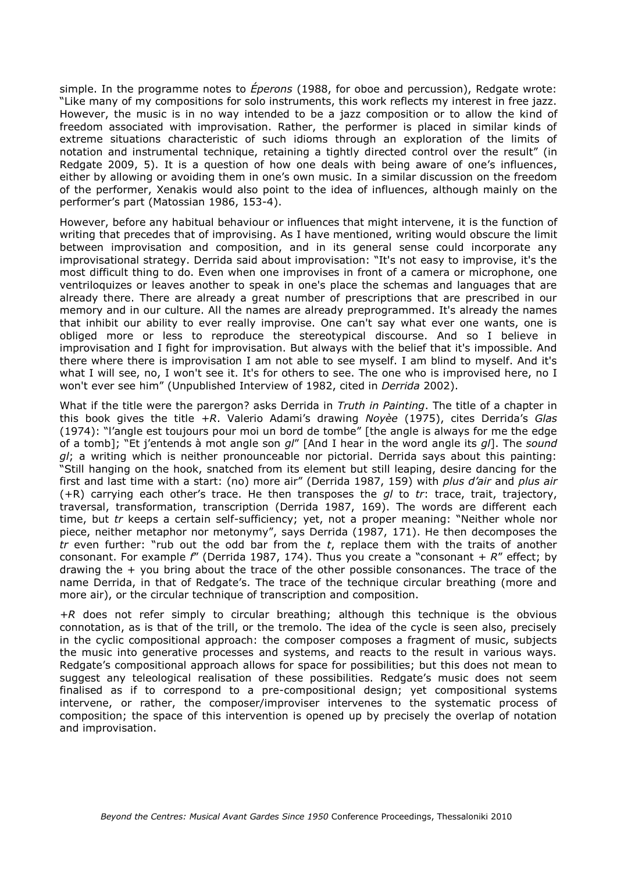simple. In the programme notes to *Éperons* (1988, for oboe and percussion), Redgate wrote: "Like many of my compositions for solo instruments, this work reflects my interest in free jazz. However, the music is in no way intended to be a jazz composition or to allow the kind of freedom associated with improvisation. Rather, the performer is placed in similar kinds of extreme situations characteristic of such idioms through an exploration of the limits of notation and instrumental technique, retaining a tightly directed control over the result" (in Redgate 2009, 5). It is a question of how one deals with being aware of one's influences, either by allowing or avoiding them in one's own music. In a similar discussion on the freedom of the performer, Xenakis would also point to the idea of influences, although mainly on the performer"s part (Matossian 1986, 153-4).

However, before any habitual behaviour or influences that might intervene, it is the function of writing that precedes that of improvising. As I have mentioned, writing would obscure the limit between improvisation and composition, and in its general sense could incorporate any improvisational strategy. Derrida said about improvisation: "It's not easy to improvise, it's the most difficult thing to do. Even when one improvises in front of a camera or microphone, one ventriloquizes or leaves another to speak in one's place the schemas and languages that are already there. There are already a great number of prescriptions that are prescribed in our memory and in our culture. All the names are already preprogrammed. It's already the names that inhibit our ability to ever really improvise. One can't say what ever one wants, one is obliged more or less to reproduce the stereotypical discourse. And so I believe in improvisation and I fight for improvisation. But always with the belief that it's impossible. And there where there is improvisation I am not able to see myself. I am blind to myself. And it's what I will see, no, I won't see it. It's for others to see. The one who is improvised here, no I won't ever see him" (Unpublished Interview of 1982, cited in *Derrida* 2002).

What if the title were the parergon? asks Derrida in *Truth in Painting*. The title of a chapter in this book gives the title *+R*. Valerio Adami"s drawing *Noyèe* (1975), cites Derrida"s *Glas* (1974): "l"angle est toujours pour moi un bord de tombe" [the angle is always for me the edge of a tomb]; "Et j"entends à mot angle son *gl*" [And I hear in the word angle its *gl*]. The *sound gl*; a writing which is neither pronounceable nor pictorial. Derrida says about this painting: "Still hanging on the hook, snatched from its element but still leaping, desire dancing for the first and last time with a start: (no) more air" (Derrida 1987, 159) with *plus d'air* and *plus air* (+R) carrying each other"s trace. He then transposes the *gl* to *tr*: trace, trait, trajectory, traversal, transformation, transcription (Derrida 1987, 169). The words are different each time, but *tr* keeps a certain self-sufficiency; yet, not a proper meaning: "Neither whole nor piece, neither metaphor nor metonymy", says Derrida (1987, 171). He then decomposes the *tr* even further: "rub out the odd bar from the *t*, replace them with the traits of another consonant. For example *f*" (Derrida 1987, 174). Thus you create a "consonant *+ R*" effect; by drawing the + you bring about the trace of the other possible consonances. The trace of the name Derrida, in that of Redgate"s. The trace of the technique circular breathing (more and more air), or the circular technique of transcription and composition.

*+R* does not refer simply to circular breathing; although this technique is the obvious connotation, as is that of the trill, or the tremolo. The idea of the cycle is seen also, precisely in the cyclic compositional approach: the composer composes a fragment of music, subjects the music into generative processes and systems, and reacts to the result in various ways. Redgate's compositional approach allows for space for possibilities; but this does not mean to suggest any teleological realisation of these possibilities. Redgate's music does not seem finalised as if to correspond to a pre-compositional design; yet compositional systems intervene, or rather, the composer/improviser intervenes to the systematic process of composition; the space of this intervention is opened up by precisely the overlap of notation and improvisation.